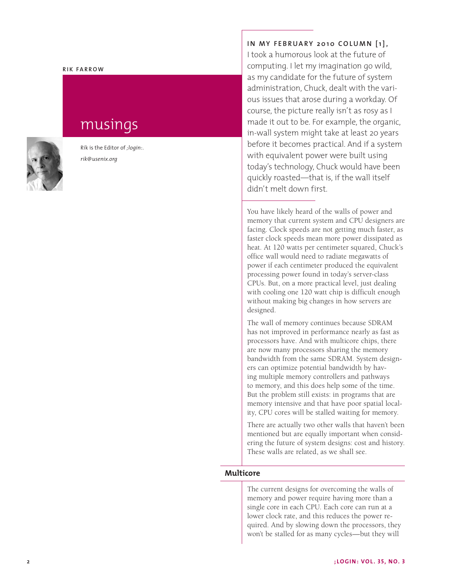#### **RIK FARROW**

# musings



Rik is the Editor of *;login:*. *rik@usenix.org*

**IN MY FEBRUARY 2010 COLUMN [1],** I took a humorous look at the future of computing. I let my imagination go wild, as my candidate for the future of system administration, Chuck, dealt with the various issues that arose during a workday. Of course, the picture really isn't as rosy as I made it out to be. For example, the organic, in-wall system might take at least 20 years before it becomes practical. And if a system with equivalent power were built using today's technology, Chuck would have been quickly roasted—that is, if the wall itself didn't melt down first.

You have likely heard of the walls of power and memory that current system and CPU designers are facing. Clock speeds are not getting much faster, as faster clock speeds mean more power dissipated as heat. At 120 watts per centimeter squared, Chuck's office wall would need to radiate megawatts of power if each centimeter produced the equivalent processing power found in today's server-class CPUs. But, on a more practical level, just dealing with cooling one 120 watt chip is difficult enough without making big changes in how servers are designed.

The wall of memory continues because SDRAM has not improved in performance nearly as fast as processors have. And with multicore chips, there are now many processors sharing the memory bandwidth from the same SDRAM. System designers can optimize potential bandwidth by having multiple memory controllers and pathways to memory, and this does help some of the time. But the problem still exists: in programs that are memory intensive and that have poor spatial locality, CPU cores will be stalled waiting for memory.

There are actually two other walls that haven't been mentioned but are equally important when considering the future of system designs: cost and history. These walls are related, as we shall see.

## **Multicore**

The current designs for overcoming the walls of memory and power require having more than a single core in each CPU. Each core can run at a lower clock rate, and this reduces the power required. And by slowing down the processors, they won't be stalled for as many cycles—but they will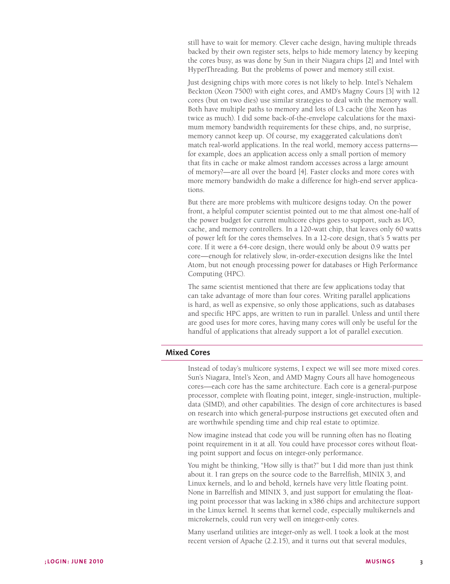still have to wait for memory. Clever cache design, having multiple threads backed by their own register sets, helps to hide memory latency by keeping the cores busy, as was done by Sun in their Niagara chips [2] and Intel with HyperThreading. But the problems of power and memory still exist.

Just designing chips with more cores is not likely to help. Intel's Nehalem Beckton (Xeon 7500) with eight cores, and AMD's Magny Cours [3] with 12 cores (but on two dies) use similar strategies to deal with the memory wall. Both have multiple paths to memory and lots of L3 cache (the Xeon has twice as much). I did some back-of-the-envelope calculations for the maximum memory bandwidth requirements for these chips, and, no surprise, memory cannot keep up. Of course, my exaggerated calculations don't match real-world applications. In the real world, memory access patterns for example, does an application access only a small portion of memory that fits in cache or make almost random accesses across a large amount of memory?—are all over the board [4]. Faster clocks and more cores with more memory bandwidth do make a difference for high-end server applications.

But there are more problems with multicore designs today. On the power front, a helpful computer scientist pointed out to me that almost one-half of the power budget for current multicore chips goes to support, such as I/O, cache, and memory controllers. In a 120-watt chip, that leaves only 60 watts of power left for the cores themselves. In a 12-core design, that's 5 watts per core. If it were a 64-core design, there would only be about 0.9 watts per core—enough for relatively slow, in-order-execution designs like the Intel Atom, but not enough processing power for databases or High Performance Computing (HPC).

The same scientist mentioned that there are few applications today that can take advantage of more than four cores. Writing parallel applications is hard, as well as expensive, so only those applications, such as databases and specific HPC apps, are written to run in parallel. Unless and until there are good uses for more cores, having many cores will only be useful for the handful of applications that already support a lot of parallel execution.

# **Mixed Cores**

Instead of today's multicore systems, I expect we will see more mixed cores. Sun's Niagara, Intel's Xeon, and AMD Magny Cours all have homogeneous cores—each core has the same architecture. Each core is a general-purpose processor, complete with floating point, integer, single-instruction, multipledata (SIMD), and other capabilities. The design of core architectures is based on research into which general-purpose instructions get executed often and are worthwhile spending time and chip real estate to optimize.

Now imagine instead that code you will be running often has no floating point requirement in it at all. You could have processor cores without floating point support and focus on integer-only performance.

You might be thinking, "How silly is that?" but I did more than just think about it. I ran greps on the source code to the Barrelfish, MINIX 3, and Linux kernels, and lo and behold, kernels have very little floating point. None in Barrelfish and MINIX 3, and just support for emulating the floating point processor that was lacking in x386 chips and architecture support in the Linux kernel. It seems that kernel code, especially multikernels and microkernels, could run very well on integer-only cores.

Many userland utilities are integer-only as well. I took a look at the most recent version of Apache (2.2.15), and it turns out that several modules,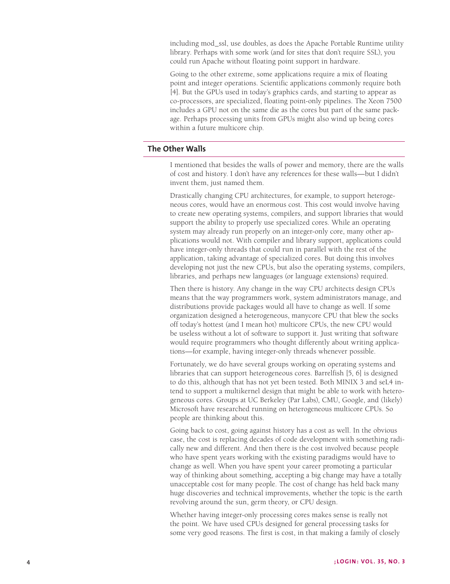including mod\_ssl, use doubles, as does the Apache Portable Runtime utility library. Perhaps with some work (and for sites that don't require SSL), you could run Apache without floating point support in hardware.

Going to the other extreme, some applications require a mix of floating point and integer operations. Scientific applications commonly require both [4]. But the GPUs used in today's graphics cards, and starting to appear as co-processors, are specialized, floating point-only pipelines. The Xeon 7500 includes a GPU not on the same die as the cores but part of the same package. Perhaps processing units from GPUs might also wind up being cores within a future multicore chip.

## **The Other Walls**

I mentioned that besides the walls of power and memory, there are the walls of cost and history. I don't have any references for these walls—but I didn't invent them, just named them.

Drastically changing CPU architectures, for example, to support heterogeneous cores, would have an enormous cost. This cost would involve having to create new operating systems, compilers, and support libraries that would support the ability to properly use specialized cores. While an operating system may already run properly on an integer-only core, many other applications would not. With compiler and library support, applications could have integer-only threads that could run in parallel with the rest of the application, taking advantage of specialized cores. But doing this involves developing not just the new CPUs, but also the operating systems, compilers, libraries, and perhaps new languages (or language extensions) required.

Then there is history. Any change in the way CPU architects design CPUs means that the way programmers work, system administrators manage, and distributions provide packages would all have to change as well. If some organization designed a heterogeneous, manycore CPU that blew the socks off today's hottest (and I mean hot) multicore CPUs, the new CPU would be useless without a lot of software to support it. Just writing that software would require programmers who thought differently about writing applications—for example, having integer-only threads whenever possible.

Fortunately, we do have several groups working on operating systems and libraries that can support heterogeneous cores. Barrelfish [5, 6] is designed to do this, although that has not yet been tested. Both MINIX 3 and seL4 intend to support a multikernel design that might be able to work with heterogeneous cores. Groups at UC Berkeley (Par Labs), CMU, Google, and (likely) Microsoft have researched running on heterogeneous multicore CPUs. So people are thinking about this.

Going back to cost, going against history has a cost as well. In the obvious case, the cost is replacing decades of code development with something radically new and different. And then there is the cost involved because people who have spent years working with the existing paradigms would have to change as well. When you have spent your career promoting a particular way of thinking about something, accepting a big change may have a totally unacceptable cost for many people. The cost of change has held back many huge discoveries and technical improvements, whether the topic is the earth revolving around the sun, germ theory, or CPU design.

Whether having integer-only processing cores makes sense is really not the point. We have used CPUs designed for general processing tasks for some very good reasons. The first is cost, in that making a family of closely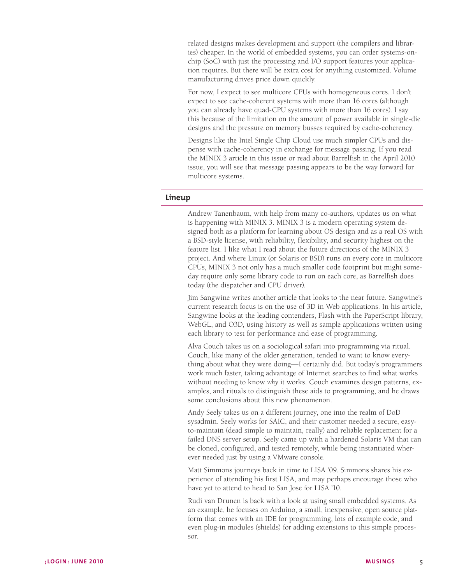related designs makes development and support (the compilers and libraries) cheaper. In the world of embedded systems, you can order systems-onchip (SoC) with just the processing and I/O support features your application requires. But there will be extra cost for anything customized. Volume manufacturing drives price down quickly.

For now, I expect to see multicore CPUs with homogeneous cores. I don't expect to see cache-coherent systems with more than 16 cores (although you can already have quad-CPU systems with more than 16 cores). I say this because of the limitation on the amount of power available in single-die designs and the pressure on memory busses required by cache-coherency.

Designs like the Intel Single Chip Cloud use much simpler CPUs and dispense with cache-coherency in exchange for message passing. If you read the MINIX 3 article in this issue or read about Barrelfish in the April 2010 issue, you will see that message passing appears to be the way forward for multicore systems.

### **Lineup**

Andrew Tanenbaum, with help from many co-authors, updates us on what is happening with MINIX 3. MINIX 3 is a modern operating system designed both as a platform for learning about OS design and as a real OS with a BSD-style license, with reliability, flexibility, and security highest on the feature list. I like what I read about the future directions of the MINIX 3 project. And where Linux (or Solaris or BSD) runs on every core in multicore CPUs, MINIX 3 not only has a much smaller code footprint but might someday require only some library code to run on each core, as Barrelfish does today (the dispatcher and CPU driver).

Jim Sangwine writes another article that looks to the near future. Sangwine's current research focus is on the use of 3D in Web applications. In his article, Sangwine looks at the leading contenders, Flash with the PaperScript library, WebGL, and O3D, using history as well as sample applications written using each library to test for performance and ease of programming.

Alva Couch takes us on a sociological safari into programming via ritual. Couch, like many of the older generation, tended to want to know everything about what they were doing—I certainly did. But today's programmers work much faster, taking advantage of Internet searches to find what works without needing to know *why* it works. Couch examines design patterns, examples, and rituals to distinguish these aids to programming, and he draws some conclusions about this new phenomenon.

Andy Seely takes us on a different journey, one into the realm of DoD sysadmin. Seely works for SAIC, and their customer needed a secure, easyto-maintain (dead simple to maintain, really) and reliable replacement for a failed DNS server setup. Seely came up with a hardened Solaris VM that can be cloned, configured, and tested remotely, while being instantiated wherever needed just by using a VMware console.

Matt Simmons journeys back in time to LISA '09. Simmons shares his experience of attending his first LISA, and may perhaps encourage those who have yet to attend to head to San Jose for LISA '10.

Rudi van Drunen is back with a look at using small embedded systems. As an example, he focuses on Arduino, a small, inexpensive, open source platform that comes with an IDE for programming, lots of example code, and even plug-in modules (shields) for adding extensions to this simple processor.